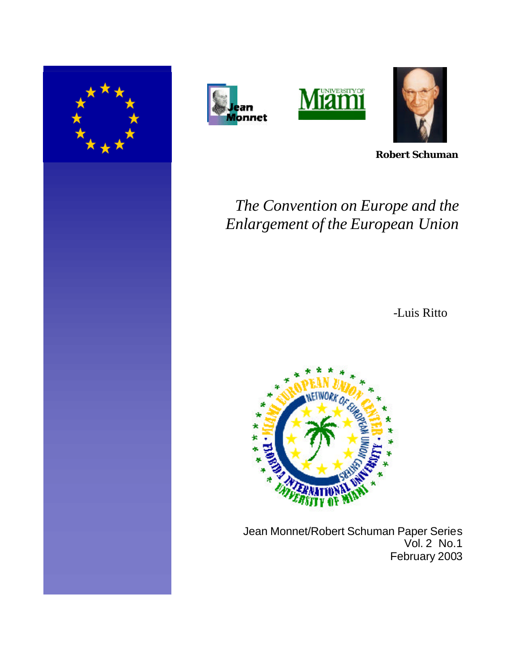







**Robert Schuman**

# *The Convention on Europe and the Enlargement of the European Union*

-Luis Ritto



 Jean Monnet/Robert Schuman Paper Series Vol. 2 No.1 February 2003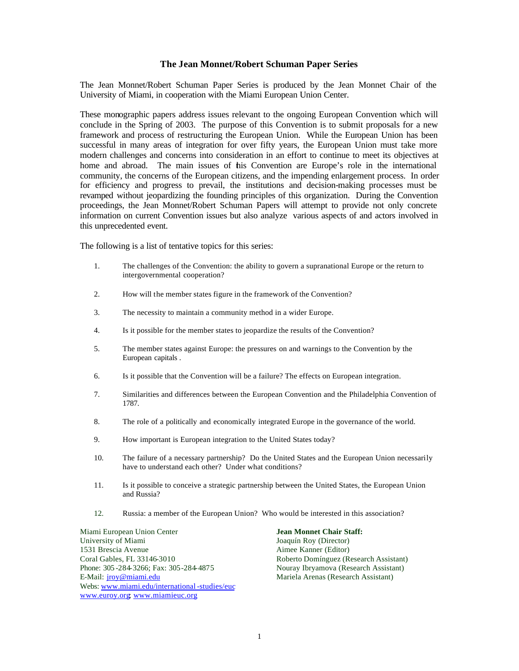#### **The Jean Monnet/Robert Schuman Paper Series**

The Jean Monnet/Robert Schuman Paper Series is produced by the Jean Monnet Chair of the University of Miami, in cooperation with the Miami European Union Center.

These monographic papers address issues relevant to the ongoing European Convention which will conclude in the Spring of 2003. The purpose of this Convention is to submit proposals for a new framework and process of restructuring the European Union. While the European Union has been successful in many areas of integration for over fifty years, the European Union must take more modern challenges and concerns into consideration in an effort to continue to meet its objectives at home and abroad. The main issues of his Convention are Europe's role in the international community, the concerns of the European citizens, and the impending enlargement process. In order for efficiency and progress to prevail, the institutions and decision-making processes must be revamped without jeopardizing the founding principles of this organization. During the Convention proceedings, the Jean Monnet/Robert Schuman Papers will attempt to provide not only concrete information on current Convention issues but also analyze various aspects of and actors involved in this unprecedented event.

The following is a list of tentative topics for this series:

- 1. The challenges of the Convention: the ability to govern a supranational Europe or the return to intergovernmental cooperation?
- 2. How will the member states figure in the framework of the Convention?
- 3. The necessity to maintain a community method in a wider Europe.
- 4. Is it possible for the member states to jeopardize the results of the Convention?
- 5. The member states against Europe: the pressures on and warnings to the Convention by the European capitals .
- 6. Is it possible that the Convention will be a failure? The effects on European integration.
- 7. Similarities and differences between the European Convention and the Philadelphia Convention of 1787.
- 8. The role of a politically and economically integrated Europe in the governance of the world.
- 9. How important is European integration to the United States today?
- 10. The failure of a necessary partnership? Do the United States and the European Union necessarily have to understand each other? Under what conditions?
- 11. Is it possible to conceive a strategic partnership between the United States, the European Union and Russia?
- 12. Russia: a member of the European Union? Who would be interested in this association?

Miami European Union Center **Jean Monnet Chair Staff:** University of Miami Joaquín Roy (Director) 1531 Brescia Avenue Aimee Kanner (Editor) Coral Gables, FL 33146-3010 Roberto Domínguez (Research Assistant) Phone: 305 -284-3266; Fax: 305-284-4875 Nouray Ibryamova (Research Assistant) E-Mail: jroy@miami.edu Mariela Arenas (Research Assistant) Webs: www.miami.edu/international -studies/euc www.euroy.org; www.miamieuc.org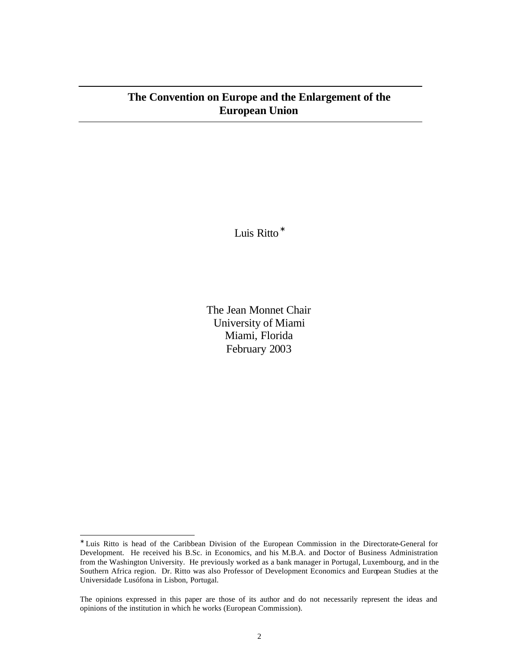## **The Convention on Europe and the Enlargement of the European Union**

Luis Ritto<sup>\*</sup>

The Jean Monnet Chair University of Miami Miami, Florida February 2003

l

<sup>∗</sup> Luis Ritto is head of the Caribbean Division of the European Commission in the Directorate-General for Development. He received his B.Sc. in Economics, and his M.B.A. and Doctor of Business Administration from the Washington University. He previously worked as a bank manager in Portugal, Luxembourg, and in the Southern Africa region. Dr. Ritto was also Professor of Development Economics and European Studies at the Universidade Lusófona in Lisbon, Portugal.

The opinions expressed in this paper are those of its author and do not necessarily represent the ideas and opinions of the institution in which he works (European Commission).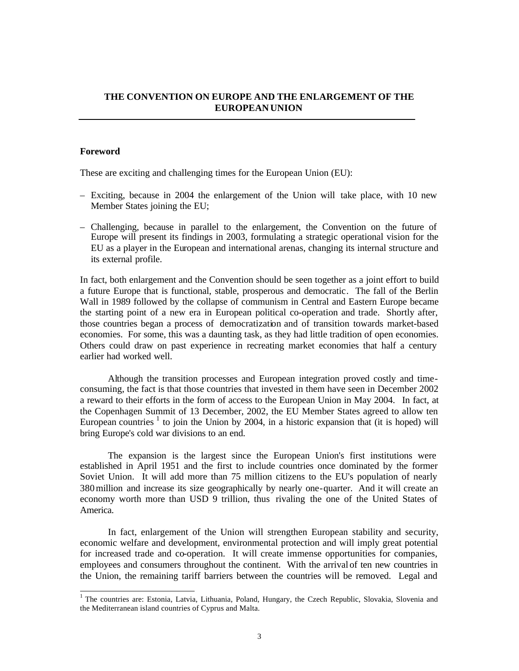## **THE CONVENTION ON EUROPE AND THE ENLARGEMENT OF THE EUROPEAN UNION**

#### **Foreword**

These are exciting and challenging times for the European Union (EU):

- Exciting, because in 2004 the enlargement of the Union will take place, with 10 new Member States joining the EU;
- Challenging, because in parallel to the enlargement, the Convention on the future of Europe will present its findings in 2003, formulating a strategic operational vision for the EU as a player in the European and international arenas, changing its internal structure and its external profile.

In fact, both enlargement and the Convention should be seen together as a joint effort to build a future Europe that is functional, stable, prosperous and democratic. The fall of the Berlin Wall in 1989 followed by the collapse of communism in Central and Eastern Europe became the starting point of a new era in European political co-operation and trade. Shortly after, those countries began a process of democratization and of transition towards market-based economies. For some, this was a daunting task, as they had little tradition of open economies. Others could draw on past experience in recreating market economies that half a century earlier had worked well.

Although the transition processes and European integration proved costly and timeconsuming, the fact is that those countries that invested in them have seen in December 2002 a reward to their efforts in the form of access to the European Union in May 2004. In fact, at the Copenhagen Summit of 13 December, 2002, the EU Member States agreed to allow ten European countries  $1$  to join the Union by 2004, in a historic expansion that (it is hoped) will bring Europe's cold war divisions to an end.

The expansion is the largest since the European Union's first institutions were established in April 1951 and the first to include countries once dominated by the former Soviet Union. It will add more than 75 million citizens to the EU's population of nearly 380million and increase its size geographically by nearly one-quarter. And it will create an economy worth more than USD 9 trillion, thus rivaling the one of the United States of America.

In fact, enlargement of the Union will strengthen European stability and security, economic welfare and development, environmental protection and will imply great potential for increased trade and co-operation. It will create immense opportunities for companies, employees and consumers throughout the continent. With the arrival of ten new countries in the Union, the remaining tariff barriers between the countries will be removed. Legal and

<sup>&</sup>lt;sup>1</sup> The countries are: Estonia, Latvia, Lithuania, Poland, Hungary, the Czech Republic, Slovakia, Slovenia and the Mediterranean island countries of Cyprus and Malta.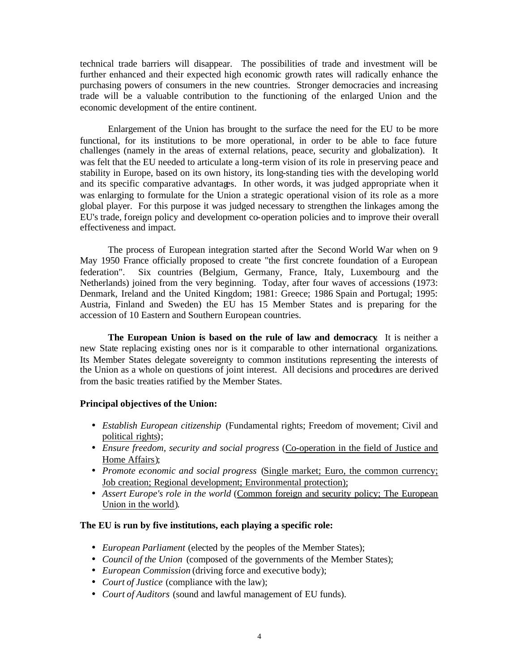technical trade barriers will disappear. The possibilities of trade and investment will be further enhanced and their expected high economic growth rates will radically enhance the purchasing powers of consumers in the new countries. Stronger democracies and increasing trade will be a valuable contribution to the functioning of the enlarged Union and the economic development of the entire continent.

Enlargement of the Union has brought to the surface the need for the EU to be more functional, for its institutions to be more operational, in order to be able to face future challenges (namely in the areas of external relations, peace, security and globalization). It was felt that the EU needed to articulate a long-term vision of its role in preserving peace and stability in Europe, based on its own history, its long-standing ties with the developing world and its specific comparative advantages. In other words, it was judged appropriate when it was enlarging to formulate for the Union a strategic operational vision of its role as a more global player. For this purpose it was judged necessary to strengthen the linkages among the EU's trade, foreign policy and development co-operation policies and to improve their overall effectiveness and impact.

The process of European integration started after the Second World War when on 9 May 1950 France officially proposed to create "the first concrete foundation of a European federation". Six countries (Belgium, Germany, France, Italy, Luxembourg and the Netherlands) joined from the very beginning. Today, after four waves of accessions (1973: Denmark, Ireland and the United Kingdom; 1981: Greece; 1986 Spain and Portugal; 1995: Austria, Finland and Sweden) the EU has 15 Member States and is preparing for the accession of 10 Eastern and Southern European countries.

**The European Union is based on the rule of law and democracy**. It is neither a new State replacing existing ones nor is it comparable to other international organizations. Its Member States delegate sovereignty to common institutions representing the interests of the Union as a whole on questions of joint interest. All decisions and procedures are derived from the basic treaties ratified by the Member States.

#### **Principal objectives of the Union:**

- *Establish European citizenship* (Fundamental rights; Freedom of movement; Civil and political rights);
- *Ensure freedom, security and social progress* (Co-operation in the field of Justice and Home Affairs);
- *Promote economic and social progress* (Single market; Euro, the common currency; Job creation; Regional development; Environmental protection);
- *Assert Europe's role in the world* (Common foreign and security policy; The European Union in the world).

#### **The EU is run by five institutions, each playing a specific role:**

- *European Parliament* (elected by the peoples of the Member States);
- *Council of the Union* (composed of the governments of the Member States);
- *European Commission* (driving force and executive body);
- *Court of Justice* (compliance with the law);
- *Court of Auditors* (sound and lawful management of EU funds).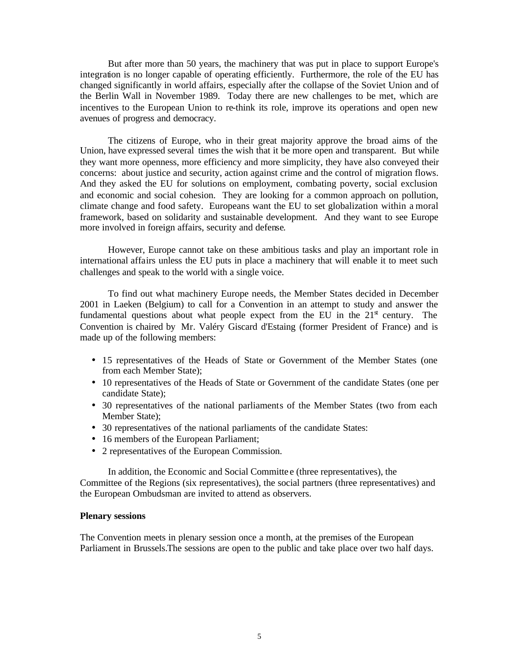But after more than 50 years, the machinery that was put in place to support Europe's integration is no longer capable of operating efficiently. Furthermore, the role of the EU has changed significantly in world affairs, especially after the collapse of the Soviet Union and of the Berlin Wall in November 1989. Today there are new challenges to be met, which are incentives to the European Union to re-think its role, improve its operations and open new avenues of progress and democracy.

The citizens of Europe, who in their great majority approve the broad aims of the Union, have expressed several times the wish that it be more open and transparent. But while they want more openness, more efficiency and more simplicity, they have also conveyed their concerns: about justice and security, action against crime and the control of migration flows. And they asked the EU for solutions on employment, combating poverty, social exclusion and economic and social cohesion. They are looking for a common approach on pollution, climate change and food safety. Europeans want the EU to set globalization within a moral framework, based on solidarity and sustainable development. And they want to see Europe more involved in foreign affairs, security and defense.

However, Europe cannot take on these ambitious tasks and play an important role in international affairs unless the EU puts in place a machinery that will enable it to meet such challenges and speak to the world with a single voice.

To find out what machinery Europe needs, the Member States decided in December 2001 in Laeken (Belgium) to call for a Convention in an attempt to study and answer the fundamental questions about what people expect from the EU in the  $21<sup>st</sup>$  century. The Convention is chaired by Mr. Valéry Giscard d'Estaing (former President of France) and is made up of the following members:

- 15 representatives of the Heads of State or Government of the Member States (one from each Member State);
- 10 representatives of the Heads of State or Government of the candidate States (one per candidate State);
- 30 representatives of the national parliaments of the Member States (two from each Member State);
- 30 representatives of the national parliaments of the candidate States:
- 16 members of the European Parliament;
- 2 representatives of the European Commission.

In addition, the Economic and Social Committe e (three representatives), the Committee of the Regions (six representatives), the social partners (three representatives) and the European Ombudsman are invited to attend as observers.

#### **Plenary sessions**

The Convention meets in plenary session once a month, at the premises of the European Parliament in Brussels.The sessions are open to the public and take place over two half days.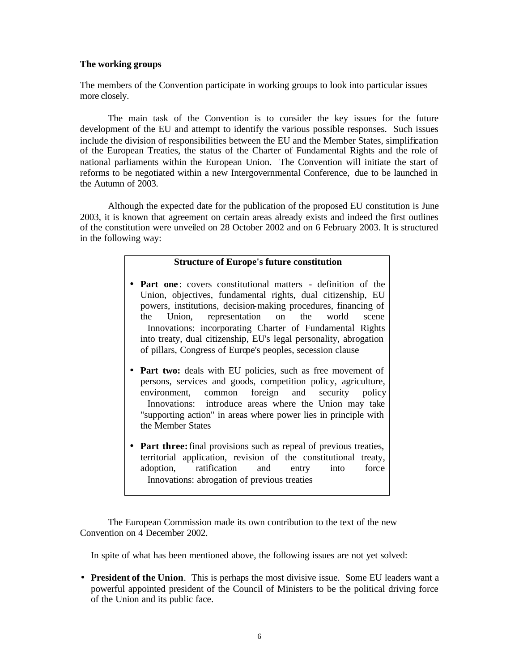#### **The working groups**

The members of the Convention participate in working groups to look into particular issues more closely.

The main task of the Convention is to consider the key issues for the future development of the EU and attempt to identify the various possible responses. Such issues include the division of responsibilities between the EU and the Member States, simplification of the European Treaties, the status of the Charter of Fundamental Rights and the role of national parliaments within the European Union. The Convention will initiate the start of reforms to be negotiated within a new Intergovernmental Conference, due to be launched in the Autumn of 2003.

Although the expected date for the publication of the proposed EU constitution is June 2003, it is known that agreement on certain areas already exists and indeed the first outlines of the constitution were unveiled on 28 October 2002 and on 6 February 2003. It is structured in the following way:

#### **Structure of Europe's future constitution**

- **Part one**: covers constitutional matters definition of the Union, objectives, fundamental rights, dual citizenship, EU powers, institutions, decision-making procedures, financing of the Union, representation on the world scene Innovations: incorporating Charter of Fundamental Rights into treaty, dual citizenship, EU's legal personality, abrogation of pillars, Congress of Europe's peoples, secession clause
- **Part two:** deals with EU policies, such as free movement of persons, services and goods, competition policy, agriculture, environment, common foreign and security policy Innovations: introduce areas where the Union may take "supporting action" in areas where power lies in principle with the Member States
- **Part three:** final provisions such as repeal of previous treaties, territorial application, revision of the constitutional treaty, adoption, ratification and entry into force Innovations: abrogation of previous treaties

The European Commission made its own contribution to the text of the new Convention on 4 December 2002.

In spite of what has been mentioned above, the following issues are not yet solved:

• **President of the Union**. This is perhaps the most divisive issue. Some EU leaders want a powerful appointed president of the Council of Ministers to be the political driving force of the Union and its public face.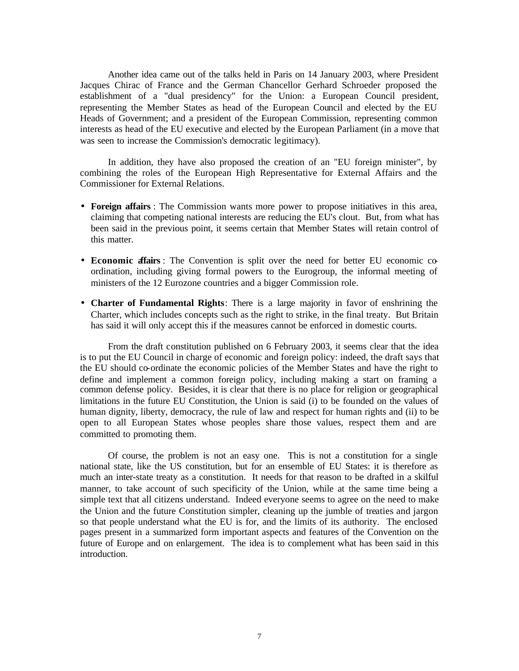Another idea came out of the talks held in Paris on 14 January 2003, where President Jacques Chirac of France and the German Chancellor Gerhard Schroeder proposed the establishment of a "dual presidency" for the Union: a European Council president, representing the Member States as head of the European Council and elected by the EU Heads of Government; and a president of the European Commission, representing common interests as head of the EU executive and elected by the European Parliament (in a move that was seen to increase the Commission's democratic legitimacy).

In addition, they have also proposed the creation of an "EU foreign minister", by combining the roles of the European High Representative for External Affairs and the Commissioner for External Relations.

- **Foreign affairs** : The Commission wants more power to propose initiatives in this area, claiming that competing national interests are reducing the EU's clout. But, from what has been said in the previous point, it seems certain that Member States will retain control of this matter.
- **Economic affairs** : The Convention is split over the need for better EU economic coordination, including giving formal powers to the Eurogroup, the informal meeting of ministers of the 12 Eurozone countries and a bigger Commission role.
- **Charter of Fundamental Rights**: There is a large majority in favor of enshrining the Charter, which includes concepts such as the right to strike, in the final treaty. But Britain has said it will only accept this if the measures cannot be enforced in domestic courts.

From the draft constitution published on 6 February 2003, it seems clear that the idea is to put the EU Council in charge of economic and foreign policy: indeed, the draft says that the EU should co-ordinate the economic policies of the Member States and have the right to define and implement a common foreign policy, including making a start on framing a common defense policy. Besides, it is clear that there is no place for religion or geographical limitations in the future EU Constitution, the Union is said (i) to be founded on the values of human dignity, liberty, democracy, the rule of law and respect for human rights and (ii) to be open to all European States whose peoples share those values, respect them and are committed to promoting them.

Of course, the problem is not an easy one. This is not a constitution for a single national state, like the US constitution, but for an ensemble of EU States: it is therefore as much an inter-state treaty as a constitution. It needs for that reason to be drafted in a skilful manner, to take account of such specificity of the Union, while at the same time being a simple text that all citizens understand. Indeed everyone seems to agree on the need to make the Union and the future Constitution simpler, cleaning up the jumble of treaties and jargon so that people understand what the EU is for, and the limits of its authority. The enclosed pages present in a summarized form important aspects and features of the Convention on the future of Europe and on enlargement. The idea is to complement what has been said in this introduction.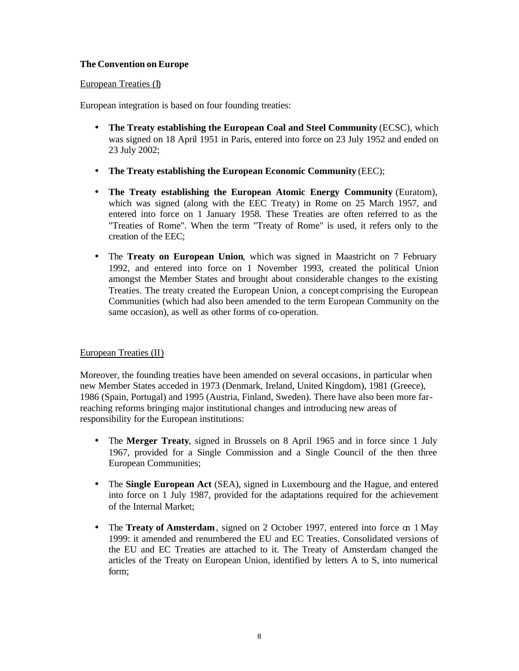## **The Convention on Europe**

## European Treaties (I)

European integration is based on four founding treaties:

- **The Treaty establishing the European Coal and Steel Community** (ECSC), which was signed on 18 April 1951 in Paris, entered into force on 23 July 1952 and ended on 23 July 2002;
- **The Treaty establishing the European Economic Community** (EEC);
- **The Treaty establishing the European Atomic Energy Community** (Euratom), which was signed (along with the EEC Treaty) in Rome on 25 March 1957, and entered into force on 1 January 1958. These Treaties are often referred to as the "Treaties of Rome". When the term "Treaty of Rome" is used, it refers only to the creation of the EEC;
- The **Treaty on European Union**, which was signed in Maastricht on 7 February 1992, and entered into force on 1 November 1993, created the political Union amongst the Member States and brought about considerable changes to the existing Treaties. The treaty created the European Union, a concept comprising the European Communities (which had also been amended to the term European Community on the same occasion), as well as other forms of co-operation.

## European Treaties (II)

Moreover, the founding treaties have been amended on several occasions, in particular when new Member States acceded in 1973 (Denmark, Ireland, United Kingdom), 1981 (Greece), 1986 (Spain, Portugal) and 1995 (Austria, Finland, Sweden). There have also been more farreaching reforms bringing major institutional changes and introducing new areas of responsibility for the European institutions:

- The **Merger Treaty**, signed in Brussels on 8 April 1965 and in force since 1 July 1967, provided for a Single Commission and a Single Council of the then three European Communities;
- The **Single European Act** (SEA), signed in Luxembourg and the Hague, and entered into force on 1 July 1987, provided for the adaptations required for the achievement of the Internal Market;
- The **Treaty of Amsterdam**, signed on 2 October 1997, entered into force on 1 May 1999: it amended and renumbered the EU and EC Treaties. Consolidated versions of the EU and EC Treaties are attached to it. The Treaty of Amsterdam changed the articles of the Treaty on European Union, identified by letters A to S, into numerical form;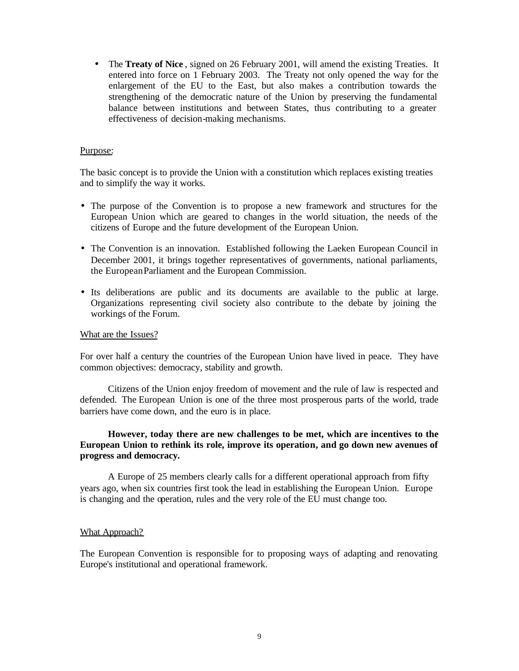• The **Treaty of Nice**, signed on 26 February 2001, will amend the existing Treaties. It entered into force on 1 February 2003. The Treaty not only opened the way for the enlargement of the EU to the East, but also makes a contribution towards the strengthening of the democratic nature of the Union by preserving the fundamental balance between institutions and between States, thus contributing to a greater effectiveness of decision-making mechanisms.

#### Purpose:

The basic concept is to provide the Union with a constitution which replaces existing treaties and to simplify the way it works.

- The purpose of the Convention is to propose a new framework and structures for the European Union which are geared to changes in the world situation, the needs of the citizens of Europe and the future development of the European Union.
- The Convention is an innovation. Established following the Laeken European Council in December 2001, it brings together representatives of governments, national parliaments, the European Parliament and the European Commission.
- Its deliberations are public and its documents are available to the public at large. Organizations representing civil society also contribute to the debate by joining the workings of the Forum.

#### What are the Issues?

For over half a century the countries of the European Union have lived in peace. They have common objectives: democracy, stability and growth.

Citizens of the Union enjoy freedom of movement and the rule of law is respected and defended. The European Union is one of the three most prosperous parts of the world, trade barriers have come down, and the euro is in place.

## **However, today there are new challenges to be met, which are incentives to the European Union to rethink its role, improve its operation, and go down new avenues of progress and democracy.**

A Europe of 25 members clearly calls for a different operational approach from fifty years ago, when six countries first took the lead in establishing the European Union. Europe is changing and the operation, rules and the very role of the EU must change too.

#### What Approach?

The European Convention is responsible for to proposing ways of adapting and renovating Europe's institutional and operational framework.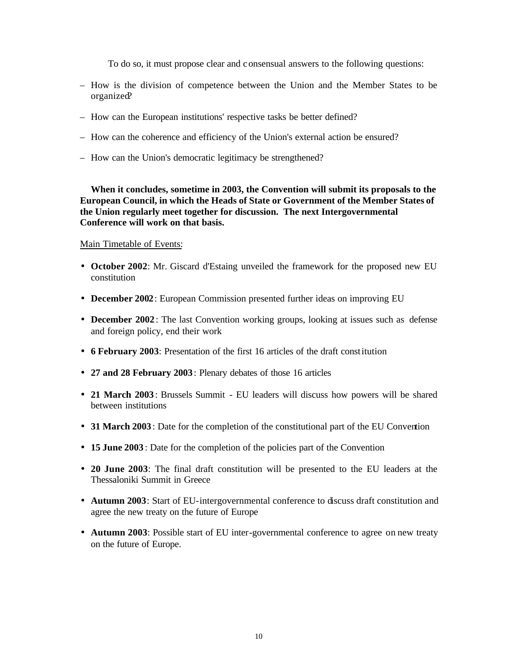To do so, it must propose clear and consensual answers to the following questions:

- How is the division of competence between the Union and the Member States to be organized?
- How can the European institutions' respective tasks be better defined?
- How can the coherence and efficiency of the Union's external action be ensured?
- How can the Union's democratic legitimacy be strengthened?

**When it concludes, sometime in 2003, the Convention will submit its proposals to the European Council, in which the Heads of State or Government of the Member States of the Union regularly meet together for discussion. The next Intergovernmental Conference will work on that basis.**

Main Timetable of Events:

- **October 2002**: Mr. Giscard d'Estaing unveiled the framework for the proposed new EU constitution
- **December 2002**: European Commission presented further ideas on improving EU
- **December 2002**: The last Convention working groups, looking at issues such as defense and foreign policy, end their work
- **6 February 2003**: Presentation of the first 16 articles of the draft constitution
- **27 and 28 February 2003** : Plenary debates of those 16 articles
- **21 March 2003**: Brussels Summit EU leaders will discuss how powers will be shared between institutions
- **31 March 2003**: Date for the completion of the constitutional part of the EU Convention
- **15 June 2003** : Date for the completion of the policies part of the Convention
- **20 June 2003**: The final draft constitution will be presented to the EU leaders at the Thessaloniki Summit in Greece
- **Autumn 2003**: Start of EU-intergovernmental conference to discuss draft constitution and agree the new treaty on the future of Europe
- **Autumn 2003**: Possible start of EU inter-governmental conference to agree on new treaty on the future of Europe.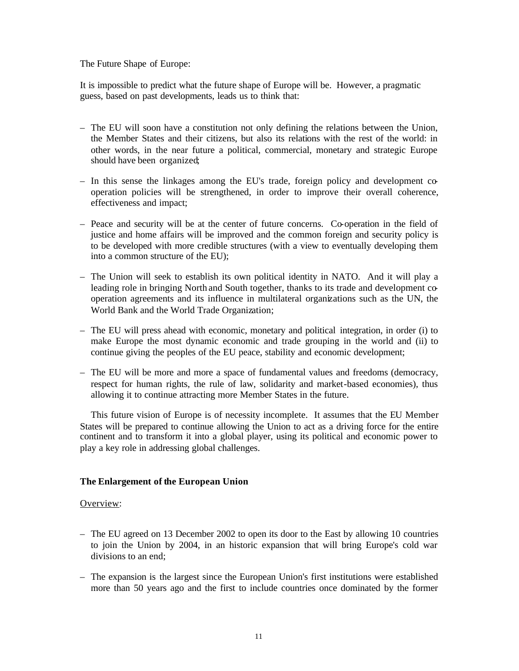The Future Shape of Europe:

It is impossible to predict what the future shape of Europe will be. However, a pragmatic guess, based on past developments, leads us to think that:

- The EU will soon have a constitution not only defining the relations between the Union, the Member States and their citizens, but also its relations with the rest of the world: in other words, in the near future a political, commercial, monetary and strategic Europe should have been organized;
- In this sense the linkages among the EU's trade, foreign policy and development cooperation policies will be strengthened, in order to improve their overall coherence, effectiveness and impact;
- Peace and security will be at the center of future concerns. Co-operation in the field of justice and home affairs will be improved and the common foreign and security policy is to be developed with more credible structures (with a view to eventually developing them into a common structure of the EU);
- The Union will seek to establish its own political identity in NATO. And it will play a leading role in bringing North and South together, thanks to its trade and development cooperation agreements and its influence in multilateral organizations such as the UN, the World Bank and the World Trade Organization;
- The EU will press ahead with economic, monetary and political integration, in order (i) to make Europe the most dynamic economic and trade grouping in the world and (ii) to continue giving the peoples of the EU peace, stability and economic development;
- The EU will be more and more a space of fundamental values and freedoms (democracy, respect for human rights, the rule of law, solidarity and market-based economies), thus allowing it to continue attracting more Member States in the future.

This future vision of Europe is of necessity incomplete. It assumes that the EU Member States will be prepared to continue allowing the Union to act as a driving force for the entire continent and to transform it into a global player, using its political and economic power to play a key role in addressing global challenges.

## **The Enlargement of the European Union**

#### Overview:

- The EU agreed on 13 December 2002 to open its door to the East by allowing 10 countries to join the Union by 2004, in an historic expansion that will bring Europe's cold war divisions to an end;
- The expansion is the largest since the European Union's first institutions were established more than 50 years ago and the first to include countries once dominated by the former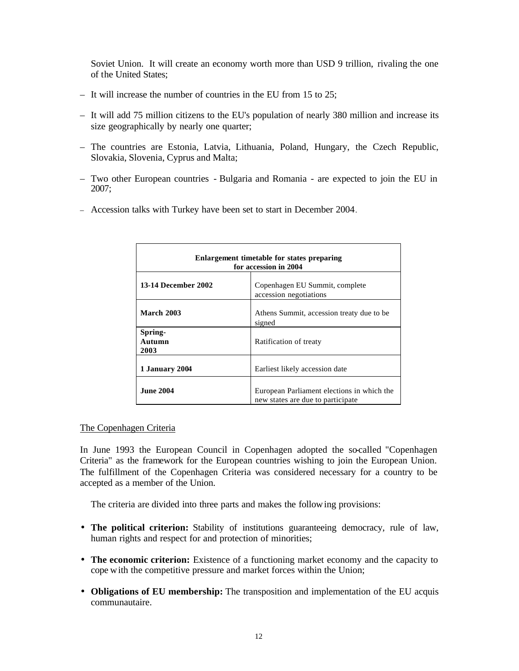Soviet Union. It will create an economy worth more than USD 9 trillion, rivaling the one of the United States;

- It will increase the number of countries in the EU from 15 to 25;
- It will add 75 million citizens to the EU's population of nearly 380 million and increase its size geographically by nearly one quarter;
- The countries are Estonia, Latvia, Lithuania, Poland, Hungary, the Czech Republic, Slovakia, Slovenia, Cyprus and Malta;
- Two other European countries Bulgaria and Romania are expected to join the EU in 2007;
- Accession talks with Turkey have been set to start in December 2004.

| Enlargement timetable for states preparing<br>for accession in 2004 |                                                                                 |  |  |
|---------------------------------------------------------------------|---------------------------------------------------------------------------------|--|--|
| <b>13-14 December 2002</b>                                          | Copenhagen EU Summit, complete<br>accession negotiations                        |  |  |
| <b>March 2003</b>                                                   | Athens Summit, accession treaty due to be.<br>signed                            |  |  |
| Spring-<br>Autumn<br>2003                                           | Ratification of treaty                                                          |  |  |
| 1 January 2004                                                      | Earliest likely accession date                                                  |  |  |
| <b>June 2004</b>                                                    | European Parliament elections in which the<br>new states are due to participate |  |  |

#### The Copenhagen Criteria

In June 1993 the European Council in Copenhagen adopted the so-called "Copenhagen Criteria" as the framework for the European countries wishing to join the European Union. The fulfillment of the Copenhagen Criteria was considered necessary for a country to be accepted as a member of the Union.

The criteria are divided into three parts and makes the following provisions:

- **The political criterion:** Stability of institutions guaranteeing democracy, rule of law, human rights and respect for and protection of minorities;
- **The economic criterion:** Existence of a functioning market economy and the capacity to cope with the competitive pressure and market forces within the Union;
- **Obligations of EU membership:** The transposition and implementation of the EU acquis communautaire.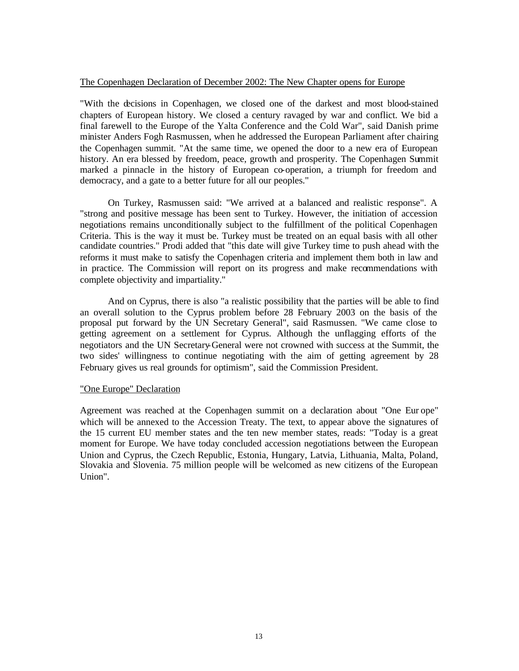#### The Copenhagen Declaration of December 2002: The New Chapter opens for Europe

"With the decisions in Copenhagen, we closed one of the darkest and most blood-stained chapters of European history. We closed a century ravaged by war and conflict. We bid a final farewell to the Europe of the Yalta Conference and the Cold War", said Danish prime minister Anders Fogh Rasmussen, when he addressed the European Parliament after chairing the Copenhagen summit. "At the same time, we opened the door to a new era of European history. An era blessed by freedom, peace, growth and prosperity. The Copenhagen Summit marked a pinnacle in the history of European co-operation, a triumph for freedom and democracy, and a gate to a better future for all our peoples."

On Turkey, Rasmussen said: "We arrived at a balanced and realistic response". A "strong and positive message has been sent to Turkey. However, the initiation of accession negotiations remains unconditionally subject to the fulfillment of the political Copenhagen Criteria. This is the way it must be. Turkey must be treated on an equal basis with all other candidate countries." Prodi added that "this date will give Turkey time to push ahead with the reforms it must make to satisfy the Copenhagen criteria and implement them both in law and in practice. The Commission will report on its progress and make recommendations with complete objectivity and impartiality."

And on Cyprus, there is also "a realistic possibility that the parties will be able to find an overall solution to the Cyprus problem before 28 February 2003 on the basis of the proposal put forward by the UN Secretary General", said Rasmussen. "We came close to getting agreement on a settlement for Cyprus. Although the unflagging efforts of the negotiators and the UN Secretary-General were not crowned with success at the Summit, the two sides' willingness to continue negotiating with the aim of getting agreement by 28 February gives us real grounds for optimism", said the Commission President.

## "One Europe" Declaration

Agreement was reached at the Copenhagen summit on a declaration about "One Eur ope" which will be annexed to the Accession Treaty. The text, to appear above the signatures of the 15 current EU member states and the ten new member states, reads: "Today is a great moment for Europe. We have today concluded accession negotiations between the European Union and Cyprus, the Czech Republic, Estonia, Hungary, Latvia, Lithuania, Malta, Poland, Slovakia and Slovenia. 75 million people will be welcomed as new citizens of the European Union".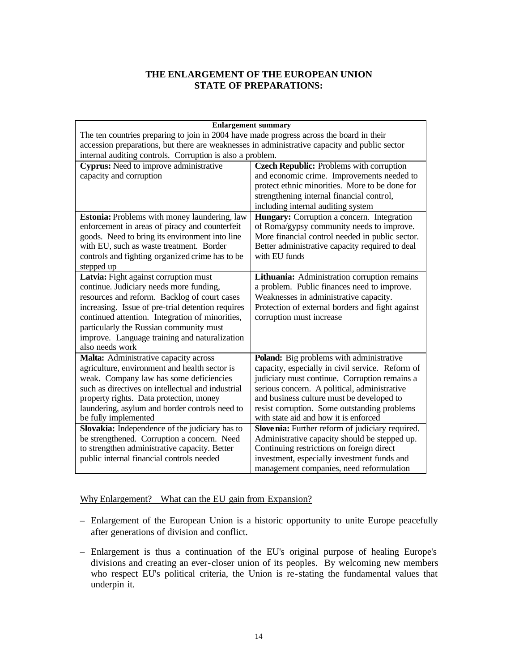## **THE ENLARGEMENT OF THE EUROPEAN UNION STATE OF PREPARATIONS:**

| <b>Enlargement summary</b>                                                                       |                                                                                              |  |  |  |
|--------------------------------------------------------------------------------------------------|----------------------------------------------------------------------------------------------|--|--|--|
| The ten countries preparing to join in 2004 have made progress across the board in their         |                                                                                              |  |  |  |
| accession preparations, but there are weaknesses in administrative capacity and public sector    |                                                                                              |  |  |  |
| internal auditing controls. Corruption is also a problem.                                        |                                                                                              |  |  |  |
| Cyprus: Need to improve administrative                                                           | <b>Czech Republic:</b> Problems with corruption                                              |  |  |  |
| capacity and corruption                                                                          | and economic crime. Improvements needed to                                                   |  |  |  |
|                                                                                                  | protect ethnic minorities. More to be done for                                               |  |  |  |
|                                                                                                  | strengthening internal financial control,                                                    |  |  |  |
|                                                                                                  | including internal auditing system                                                           |  |  |  |
| <b>Estonia:</b> Problems with money laundering, law                                              | Hungary: Corruption a concern. Integration                                                   |  |  |  |
| enforcement in areas of piracy and counterfeit<br>goods. Need to bring its environment into line | of Roma/gypsy community needs to improve.<br>More financial control needed in public sector. |  |  |  |
| with EU, such as waste treatment. Border                                                         | Better administrative capacity required to deal                                              |  |  |  |
| controls and fighting organized crime has to be                                                  | with EU funds                                                                                |  |  |  |
| stepped up                                                                                       |                                                                                              |  |  |  |
| Latvia: Fight against corruption must                                                            | Lithuania: Administration corruption remains                                                 |  |  |  |
| continue. Judiciary needs more funding,                                                          | a problem. Public finances need to improve.                                                  |  |  |  |
| resources and reform. Backlog of court cases                                                     | Weaknesses in administrative capacity.                                                       |  |  |  |
| increasing. Issue of pre-trial detention requires                                                | Protection of external borders and fight against                                             |  |  |  |
| continued attention. Integration of minorities,                                                  | corruption must increase                                                                     |  |  |  |
| particularly the Russian community must                                                          |                                                                                              |  |  |  |
| improve. Language training and naturalization                                                    |                                                                                              |  |  |  |
| also needs work                                                                                  |                                                                                              |  |  |  |
| Malta: Administrative capacity across                                                            | Poland: Big problems with administrative                                                     |  |  |  |
| agriculture, environment and health sector is                                                    | capacity, especially in civil service. Reform of                                             |  |  |  |
| weak. Company law has some deficiencies                                                          | judiciary must continue. Corruption remains a                                                |  |  |  |
| such as directives on intellectual and industrial                                                | serious concern. A political, administrative                                                 |  |  |  |
| property rights. Data protection, money                                                          | and business culture must be developed to                                                    |  |  |  |
| laundering, asylum and border controls need to<br>be fully implemented                           | resist corruption. Some outstanding problems<br>with state aid and how it is enforced        |  |  |  |
| Slovakia: Independence of the judiciary has to                                                   | Slove nia: Further reform of judiciary required.                                             |  |  |  |
| be strengthened. Corruption a concern. Need                                                      | Administrative capacity should be stepped up.                                                |  |  |  |
| to strengthen administrative capacity. Better                                                    | Continuing restrictions on foreign direct                                                    |  |  |  |
| public internal financial controls needed                                                        | investment, especially investment funds and                                                  |  |  |  |
|                                                                                                  | management companies, need reformulation                                                     |  |  |  |

## Why Enlargement? What can the EU gain from Expansion?

- Enlargement of the European Union is a historic opportunity to unite Europe peacefully after generations of division and conflict.
- Enlargement is thus a continuation of the EU's original purpose of healing Europe's divisions and creating an ever-closer union of its peoples. By welcoming new members who respect EU's political criteria, the Union is re-stating the fundamental values that underpin it.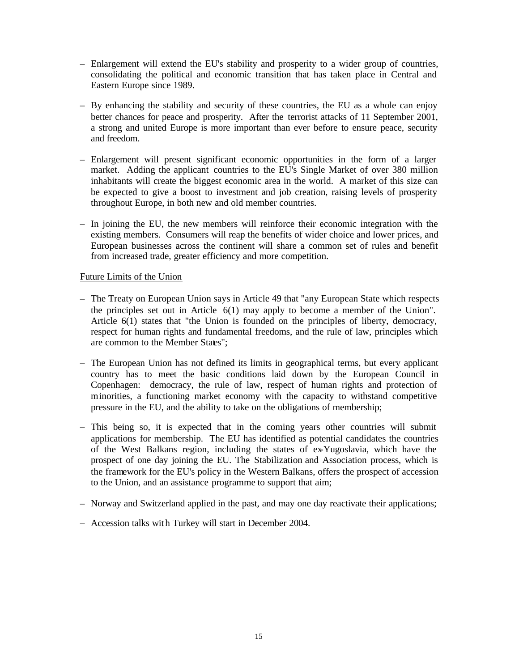- Enlargement will extend the EU's stability and prosperity to a wider group of countries, consolidating the political and economic transition that has taken place in Central and Eastern Europe since 1989.
- By enhancing the stability and security of these countries, the EU as a whole can enjoy better chances for peace and prosperity. After the terrorist attacks of 11 September 2001, a strong and united Europe is more important than ever before to ensure peace, security and freedom.
- Enlargement will present significant economic opportunities in the form of a larger market. Adding the applicant countries to the EU's Single Market of over 380 million inhabitants will create the biggest economic area in the world. A market of this size can be expected to give a boost to investment and job creation, raising levels of prosperity throughout Europe, in both new and old member countries.
- In joining the EU, the new members will reinforce their economic integration with the existing members. Consumers will reap the benefits of wider choice and lower prices, and European businesses across the continent will share a common set of rules and benefit from increased trade, greater efficiency and more competition.

## Future Limits of the Union

- The Treaty on European Union says in Article 49 that "any European State which respects the principles set out in Article 6(1) may apply to become a member of the Union". Article 6(1) states that "the Union is founded on the principles of liberty, democracy, respect for human rights and fundamental freedoms, and the rule of law, principles which are common to the Member States":
- The European Union has not defined its limits in geographical terms, but every applicant country has to meet the basic conditions laid down by the European Council in Copenhagen: democracy, the rule of law, respect of human rights and protection of minorities, a functioning market economy with the capacity to withstand competitive pressure in the EU, and the ability to take on the obligations of membership;
- This being so, it is expected that in the coming years other countries will submit applications for membership. The EU has identified as potential candidates the countries of the West Balkans region, including the states of ex-Yugoslavia, which have the prospect of one day joining the EU. The Stabilization and Association process, which is the framework for the EU's policy in the Western Balkans, offers the prospect of accession to the Union, and an assistance programme to support that aim;
- Norway and Switzerland applied in the past, and may one day reactivate their applications;
- Accession talks with Turkey will start in December 2004.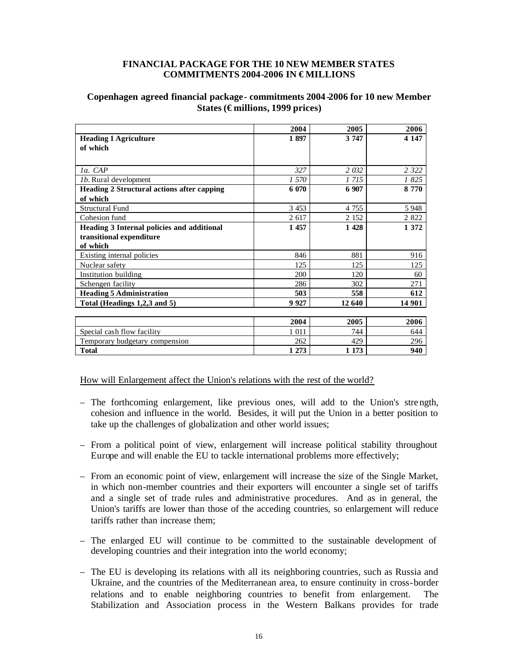#### **FINANCIAL PACKAGE FOR THE 10 NEW MEMBER STATES** COMMITMENTS 2004-2006 IN €MILLIONS

## **Copenhagen agreed financial package - commitments 2004 -2006 for 10 new Member States (€ millions, 1999 prices)**

|                                                   | 2004    | 2005    | 2006    |
|---------------------------------------------------|---------|---------|---------|
| <b>Heading 1 Agriculture</b>                      | 1897    | 3 7 4 7 | 4 1 4 7 |
| of which                                          |         |         |         |
|                                                   |         |         |         |
| la. CAP                                           | 327     | 2 0 3 2 | 2 3 2 2 |
| <i>lb.</i> Rural development                      | 1 570   | 1 715   | 1825    |
| <b>Heading 2 Structural actions after capping</b> | 6 0 70  | 6 907   | 8 7 7 0 |
| of which                                          |         |         |         |
| <b>Structural Fund</b>                            | 3 4 5 3 | 4 7 5 5 | 5948    |
| Cohesion fund                                     | 2 617   | 2 1 5 2 | 2 8 2 2 |
| Heading 3 Internal policies and additional        | 1 457   | 1428    | 1 372   |
| transitional expenditure                          |         |         |         |
| of which                                          |         |         |         |
| Existing internal policies                        | 846     | 881     | 916     |
| Nuclear safety                                    | 125     | 125     | 125     |
| Institution building                              | 200     | 120     | 60      |
| Schengen facility                                 | 286     | 302     | 271     |
| <b>Heading 5 Administration</b>                   | 503     | 558     | 612     |
| Total (Headings 1,2,3 and 5)                      | 9 9 27  | 12 640  | 14 901  |
|                                                   |         |         |         |
|                                                   | 2004    | 2005    | 2006    |
| Special cash flow facility                        | 1 0 1 1 | 744     | 644     |
| Temporary budgetary compension                    | 262     | 429     | 296     |
| <b>Total</b>                                      | 1 273   | 1 1 7 3 | 940     |

How will Enlargement affect the Union's relations with the rest of the world?

- The forthcoming enlargement, like previous ones, will add to the Union's stre ngth, cohesion and influence in the world. Besides, it will put the Union in a better position to take up the challenges of globalization and other world issues;
- From a political point of view, enlargement will increase political stability throughout Europe and will enable the EU to tackle international problems more effectively;
- From an economic point of view, enlargement will increase the size of the Single Market, in which non-member countries and their exporters will encounter a single set of tariffs and a single set of trade rules and administrative procedures. And as in general, the Union's tariffs are lower than those of the acceding countries, so enlargement will reduce tariffs rather than increase them;
- The enlarged EU will continue to be committed to the sustainable development of developing countries and their integration into the world economy;
- The EU is developing its relations with all its neighboring countries, such as Russia and Ukraine, and the countries of the Mediterranean area, to ensure continuity in cross-border relations and to enable neighboring countries to benefit from enlargement. The Stabilization and Association process in the Western Balkans provides for trade